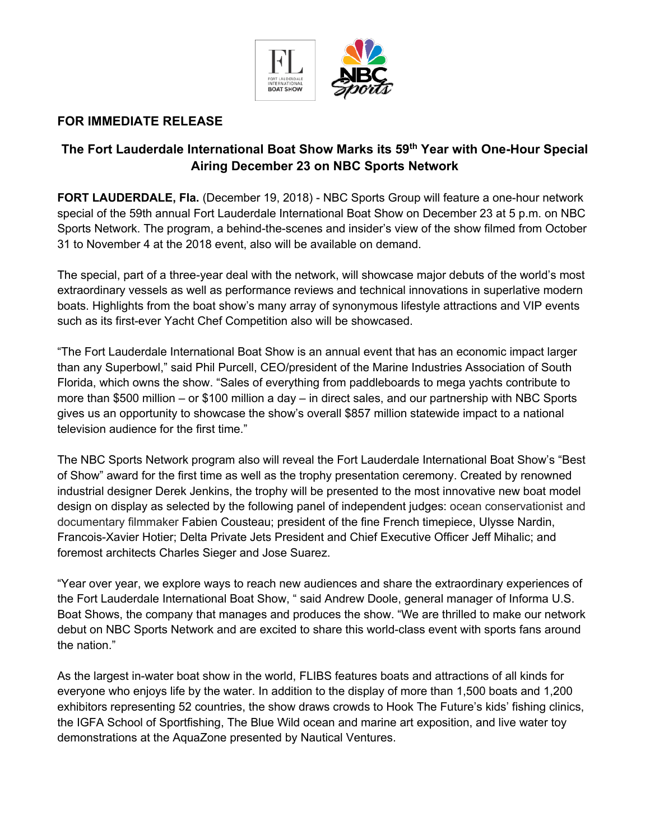

## **FOR IMMEDIATE RELEASE**

# **The Fort Lauderdale International Boat Show Marks its 59th Year with One-Hour Special Airing December 23 on NBC Sports Network**

**FORT LAUDERDALE, Fla.** (December 19, 2018) - NBC Sports Group will feature a one-hour network special of the 59th annual Fort Lauderdale International Boat Show on December 23 at 5 p.m. on NBC Sports Network. The program, a behind-the-scenes and insider's view of the show filmed from October 31 to November 4 at the 2018 event, also will be available on demand.

The special, part of a three-year deal with the network, will showcase major debuts of the world's most extraordinary vessels as well as performance reviews and technical innovations in superlative modern boats. Highlights from the boat show's many array of synonymous lifestyle attractions and VIP events such as its first-ever Yacht Chef Competition also will be showcased.

"The Fort Lauderdale International Boat Show is an annual event that has an economic impact larger than any Superbowl," said Phil Purcell, CEO/president of the Marine Industries Association of South Florida, which owns the show. "Sales of everything from paddleboards to mega yachts contribute to more than \$500 million – or \$100 million a day – in direct sales, and our partnership with NBC Sports gives us an opportunity to showcase the show's overall \$857 million statewide impact to a national television audience for the first time."

The NBC Sports Network program also will reveal the Fort Lauderdale International Boat Show's "Best of Show" award for the first time as well as the trophy presentation ceremony. Created by renowned industrial designer Derek Jenkins, the trophy will be presented to the most innovative new boat model design on display as selected by the following panel of independent judges: ocean conservationist and documentary filmmaker Fabien Cousteau; president of the fine French timepiece, Ulysse Nardin, Francois-Xavier Hotier; Delta Private Jets President and Chief Executive Officer Jeff Mihalic; and foremost architects Charles Sieger and Jose Suarez.

"Year over year, we explore ways to reach new audiences and share the extraordinary experiences of the Fort Lauderdale International Boat Show, " said Andrew Doole, general manager of Informa U.S. Boat Shows, the company that manages and produces the show. "We are thrilled to make our network debut on NBC Sports Network and are excited to share this world-class event with sports fans around the nation."

As the largest in-water boat show in the world, FLIBS features boats and attractions of all kinds for everyone who enjoys life by the water. In addition to the display of more than 1,500 boats and 1,200 exhibitors representing 52 countries, the show draws crowds to Hook The Future's kids' fishing clinics, the IGFA School of Sportfishing, The Blue Wild ocean and marine art exposition, and live water toy demonstrations at the AquaZone presented by Nautical Ventures.